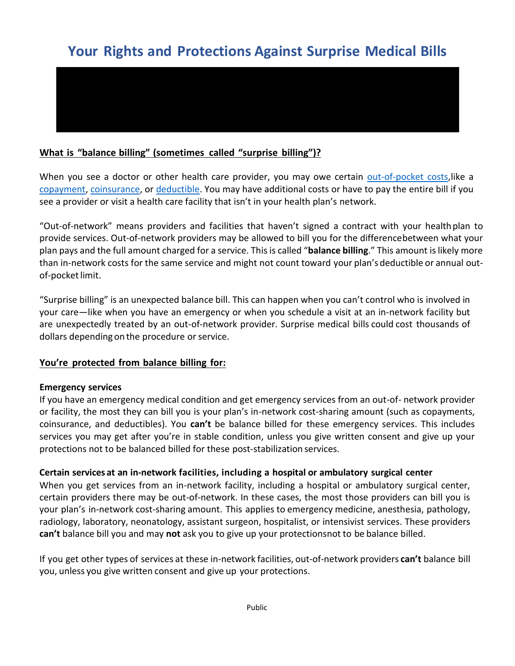# **Your Rights and Protections Against Surprise Medical Bills**

## **What is "balance billing" (sometimes called "surprise billing")?**

When you see a doctor or other health care provider, you may owe certain [out-of-pocket costs,](https://www.healthcare.gov/glossary/out-of-pocket-costs/)like a [copayment,](https://www.healthcare.gov/glossary/co-payment/) [coinsurance,](https://www.healthcare.gov/glossary/co-insurance/) or [deductible.](https://www.healthcare.gov/glossary/deductible/) You may have additional costs or have to pay the entire bill if you see a provider or visit a health care facility that isn't in your health plan's network.

"Out-of-network" means providers and facilities that haven't signed a contract with your healthplan to provide services. Out-of-network providers may be allowed to bill you for the differencebetween what your plan pays and the full amount charged for a service. This is called "**balance billing**." This amount is likely more than in-network costs for the same service and might not count toward your plan's deductible or annual outof-pocket limit.

"Surprise billing" is an unexpected balance bill. This can happen when you can't control who is involved in your care—like when you have an emergency or when you schedule a visit at an in-network facility but are unexpectedly treated by an out-of-network provider. Surprise medical bills could cost thousands of dollars depending on the procedure or service.

#### **You're protected from balance billing for:**

#### **Emergency services**

If you have an emergency medical condition and get emergency services from an out-of- network provider or facility, the most they can bill you is your plan's in-network cost-sharing amount (such as copayments, coinsurance, and deductibles). You **can't** be balance billed for these emergency services. This includes services you may get after you're in stable condition, unless you give written consent and give up your protections not to be balanced billed for these post-stabilization services.

#### **Certain services at an in-network facilities, including a hospital or ambulatory surgical center**

When you get services from an in-network facility, including a hospital or ambulatory surgical center, certain providers there may be out-of-network. In these cases, the most those providers can bill you is your plan's in-network cost-sharing amount. This applies to emergency medicine, anesthesia, pathology, radiology, laboratory, neonatology, assistant surgeon, hospitalist, or intensivist services. These providers **can't** balance bill you and may **not** ask you to give up your protectionsnot to be balance billed.

If you get other types of services at these in-network facilities, out-of-network providers **can't** balance bill you, unless you give written consent and give up your protections.